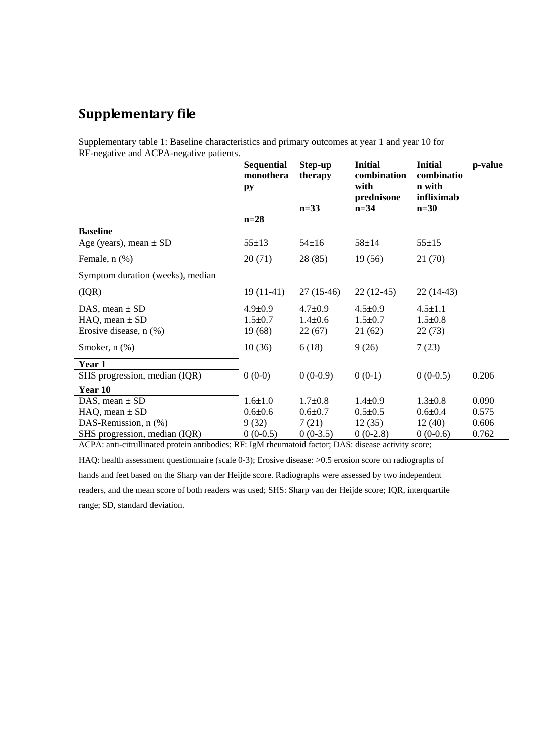## **Supplementary file**

Supplementary table 1: Baseline characteristics and primary outcomes at year 1 and year 10 for RF-negative and ACPA-negative patients.

|                                                                            | <b>Sequential</b><br>monothera<br>py     | Step-up<br>therapy<br>$n=33$             | <b>Initial</b><br>combination<br>with<br>prednisone<br>$n=34$ | <b>Initial</b><br>combinatio<br>n with<br>infliximab<br>$n=30$ | p-value |
|----------------------------------------------------------------------------|------------------------------------------|------------------------------------------|---------------------------------------------------------------|----------------------------------------------------------------|---------|
|                                                                            | $n=28$                                   |                                          |                                                               |                                                                |         |
| <b>Baseline</b><br>Age (years), mean $\pm$ SD                              | $55 \pm 13$                              | $54 \pm 16$                              | $58 + 14$                                                     | $55 + 15$                                                      |         |
| Female, $n$ $(\%)$                                                         | 20(71)                                   | 28 (85)                                  | 19(56)                                                        | 21 (70)                                                        |         |
| Symptom duration (weeks), median                                           |                                          |                                          |                                                               |                                                                |         |
| (IQR)                                                                      | $19(11-41)$                              | $27(15-46)$                              | $22(12-45)$                                                   | $22(14-43)$                                                    |         |
| DAS, mean $\pm$ SD<br>$HAQ$ , mean $\pm SD$<br>Erosive disease, $n$ $(\%)$ | $4.9 \pm 0.9$<br>$1.5 \pm 0.7$<br>19(68) | $4.7 \pm 0.9$<br>$1.4 \pm 0.6$<br>22(67) | $4.5 \pm 0.9$<br>$1.5 \pm 0.7$<br>21(62)                      | $4.5 \pm 1.1$<br>$1.5 \pm 0.8$<br>22(73)                       |         |
| Smoker, $n$ $(\%)$                                                         | 10(36)                                   | 6(18)                                    | 9(26)                                                         | 7(23)                                                          |         |
| Year 1                                                                     |                                          |                                          |                                                               |                                                                |         |
| SHS progression, median (IQR)                                              | $0(0-0)$                                 | $0(0-0.9)$                               | $0(0-1)$                                                      | $0(0-0.5)$                                                     | 0.206   |
| Year 10                                                                    |                                          |                                          |                                                               |                                                                |         |
| DAS, mean $\pm$ SD                                                         | $1.6 \pm 1.0$                            | $1.7 \pm 0.8$                            | $1.4 \pm 0.9$                                                 | $1.3 \pm 0.8$                                                  | 0.090   |
| $HAQ$ , mean $\pm SD$                                                      | $0.6 + 0.6$                              | $0.6 + 0.7$                              | $0.5 \pm 0.5$                                                 | $0.6 + 0.4$                                                    | 0.575   |
| DAS-Remission, n (%)                                                       | 9(32)                                    | 7(21)                                    | 12(35)                                                        | 12(40)                                                         | 0.606   |
| SHS progression, median (IQR)                                              | $0(0-0.5)$                               | $0(0-3.5)$                               | $0(0-2.8)$                                                    | $0(0-0.6)$                                                     | 0.762   |

ACPA: anti-citrullinated protein antibodies; RF: IgM rheumatoid factor; DAS: disease activity score;

HAQ: health assessment questionnaire (scale 0-3); Erosive disease: >0.5 erosion score on radiographs of hands and feet based on the Sharp van der Heijde score. Radiographs were assessed by two independent readers, and the mean score of both readers was used; SHS: Sharp van der Heijde score; IQR, interquartile range; SD, standard deviation.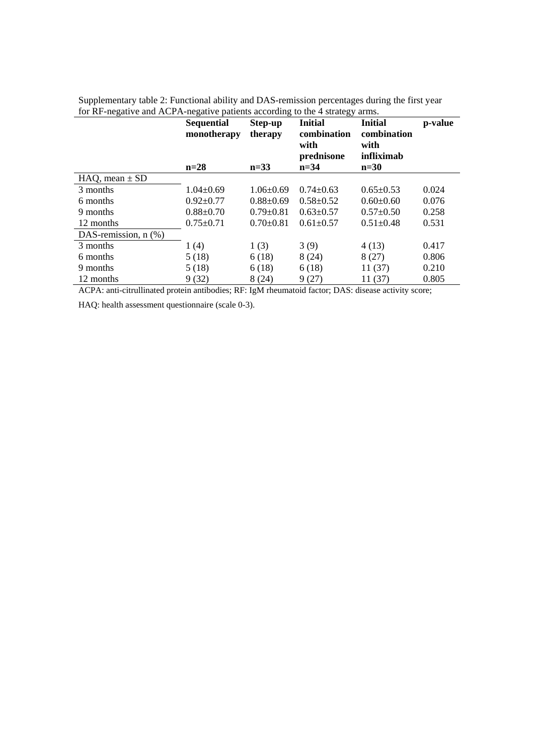|                           | <b>Sequential</b><br>monotherapy | Step-up<br>therapy | <b>Initial</b><br>combination<br>with<br>prednisone | <b>Initial</b><br>combination<br>with<br>infliximab | p-value |
|---------------------------|----------------------------------|--------------------|-----------------------------------------------------|-----------------------------------------------------|---------|
|                           | $n=28$                           | $n=33$             | $n = 34$                                            | $n=30$                                              |         |
| $HAQ$ , mean $\pm$ SD     |                                  |                    |                                                     |                                                     |         |
| 3 months                  | $1.04\pm0.69$                    | $1.06\pm0.69$      | $0.74 \pm 0.63$                                     | $0.65 \pm 0.53$                                     | 0.024   |
| 6 months                  | $0.92 \pm 0.77$                  | $0.88 \pm 0.69$    | $0.58 \pm 0.52$                                     | $0.60 \pm 0.60$                                     | 0.076   |
| 9 months                  | $0.88 \pm 0.70$                  | $0.79 \pm 0.81$    | $0.63 \pm 0.57$                                     | $0.57 \pm 0.50$                                     | 0.258   |
| 12 months                 | $0.75 \pm 0.71$                  | $0.70 \pm 0.81$    | $0.61 \pm 0.57$                                     | $0.51 \pm 0.48$                                     | 0.531   |
| DAS-remission, $n$ $(\%)$ |                                  |                    |                                                     |                                                     |         |
| 3 months                  | 1(4)                             | 1(3)               | 3(9)                                                | 4(13)                                               | 0.417   |
| 6 months                  | 5(18)                            | 6(18)              | 8(24)                                               | 8(27)                                               | 0.806   |
| 9 months                  | 5(18)                            | 6(18)              | 6(18)                                               | 11(37)                                              | 0.210   |
| 12 months                 | 9(32)                            | 8(24)              | 9(27)                                               | 11(37)                                              | 0.805   |
| $\sim$                    |                                  | <b>DDJ</b> T 1 5 1 |                                                     |                                                     |         |

| Supplementary table 2: Functional ability and DAS-remission percentages during the first year |  |  |
|-----------------------------------------------------------------------------------------------|--|--|
| for RF-negative and ACPA-negative patients according to the 4 strategy arms.                  |  |  |

ACPA: anti-citrullinated protein antibodies; RF: IgM rheumatoid factor; DAS: disease activity score;

HAQ: health assessment questionnaire (scale 0-3).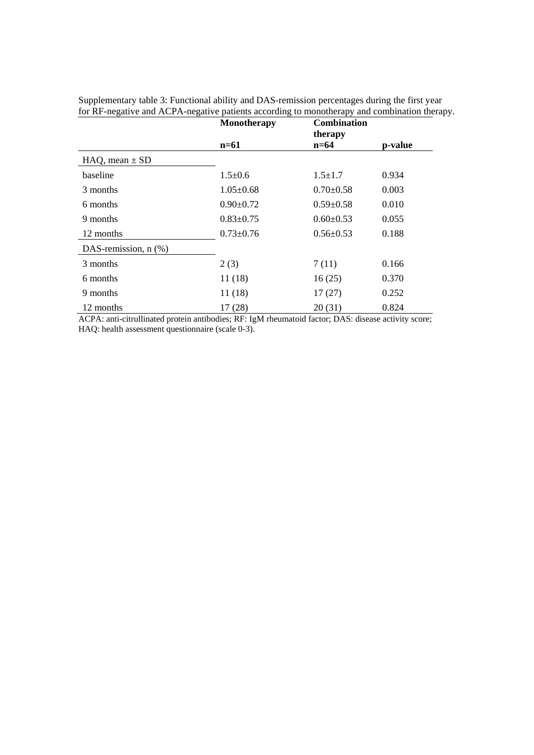|                           | <b>Combination</b><br>Monotherapy<br>therapy |                 |         |
|---------------------------|----------------------------------------------|-----------------|---------|
|                           | $n=61$                                       | $n=64$          | p-value |
| $HAQ$ , mean $\pm SD$     |                                              |                 |         |
| baseline                  | $1.5 \pm 0.6$                                | $1.5 \pm 1.7$   | 0.934   |
| 3 months                  | $1.05 \pm 0.68$                              | $0.70 \pm 0.58$ | 0.003   |
| 6 months                  | $0.90 \pm 0.72$                              | $0.59 \pm 0.58$ | 0.010   |
| 9 months                  | $0.83 \pm 0.75$                              | $0.60 \pm 0.53$ | 0.055   |
| 12 months                 | $0.73 \pm 0.76$                              | $0.56 \pm 0.53$ | 0.188   |
| DAS-remission, $n$ $(\%)$ |                                              |                 |         |
| 3 months                  | 2(3)                                         | 7(11)           | 0.166   |
| 6 months                  | 11(18)                                       | 16(25)          | 0.370   |
| 9 months                  | 11(18)                                       | 17(27)          | 0.252   |
| 12 months                 | 17(28)                                       | 20(31)          | 0.824   |

Supplementary table 3: Functional ability and DAS-remission percentages during the first year for RF-negative and ACPA-negative patients according to monotherapy and combination therapy.

ACPA: anti-citrullinated protein antibodies; RF: IgM rheumatoid factor; DAS: disease activity score; HAQ: health assessment questionnaire (scale 0-3).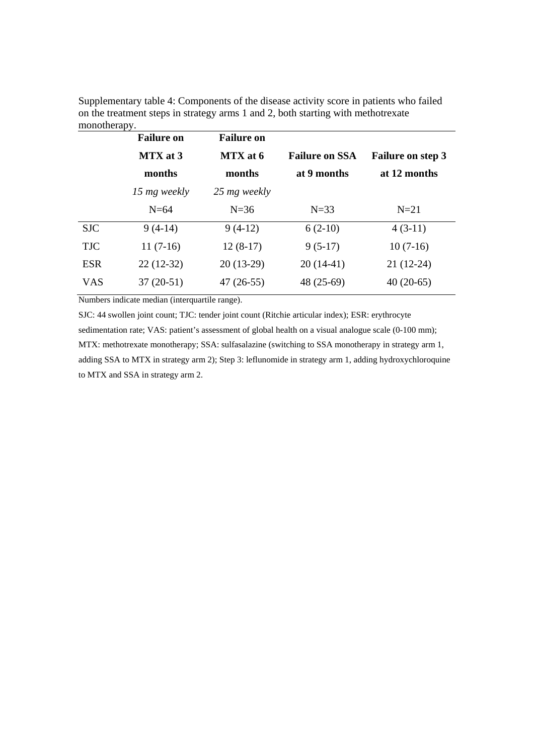|            | <b>Failure on</b> | <b>Failure on</b> |                       |                          |
|------------|-------------------|-------------------|-----------------------|--------------------------|
|            | MTX at 3          | MTX at 6          | <b>Failure on SSA</b> | <b>Failure on step 3</b> |
|            | months            | months            | at 9 months           | at 12 months             |
|            | 15 mg weekly      | 25 mg weekly      |                       |                          |
|            | $N=64$            | $N=36$            | $N=33$                | $N=21$                   |
| <b>SJC</b> | $9(4-14)$         | $9(4-12)$         | $6(2-10)$             | $4(3-11)$                |
| <b>TJC</b> | $11(7-16)$        | $12(8-17)$        | $9(5-17)$             | $10(7-16)$               |
| <b>ESR</b> | $22(12-32)$       | $20(13-29)$       | $20(14-41)$           | $21(12-24)$              |
| <b>VAS</b> | $37(20-51)$       | $47(26-55)$       | 48 (25-69)            | $40(20-65)$              |

Supplementary table 4: Components of the disease activity score in patients who failed on the treatment steps in strategy arms 1 and 2, both starting with methotrexate monotherany

Numbers indicate median (interquartile range).

SJC: 44 swollen joint count; TJC: tender joint count (Ritchie articular index); ESR: erythrocyte sedimentation rate; VAS: patient's assessment of global health on a visual analogue scale (0-100 mm); MTX: methotrexate monotherapy; SSA: sulfasalazine (switching to SSA monotherapy in strategy arm 1, adding SSA to MTX in strategy arm 2); Step 3: leflunomide in strategy arm 1, adding hydroxychloroquine to MTX and SSA in strategy arm 2.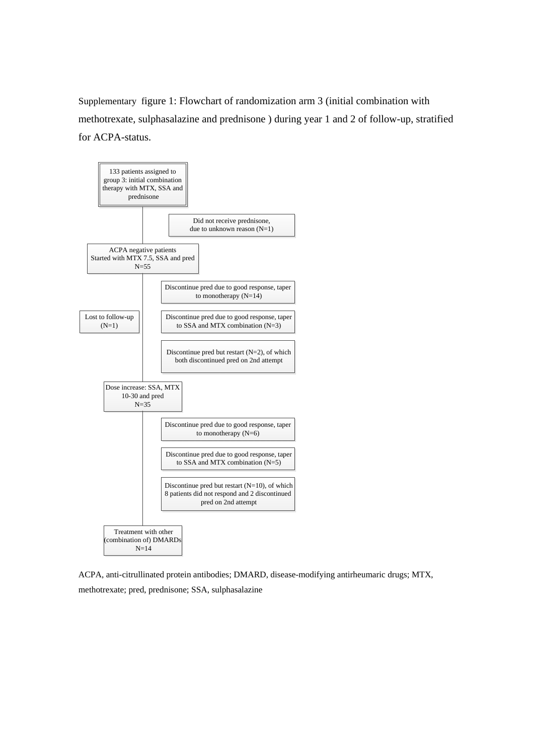Supplementary figure 1: Flowchart of randomization arm 3 (initial combination with methotrexate, sulphasalazine and prednisone ) during year 1 and 2 of follow-up, stratified for ACPA-status.



ACPA, anti-citrullinated protein antibodies; DMARD, disease-modifying antirheumaric drugs; MTX, methotrexate; pred, prednisone; SSA, sulphasalazine